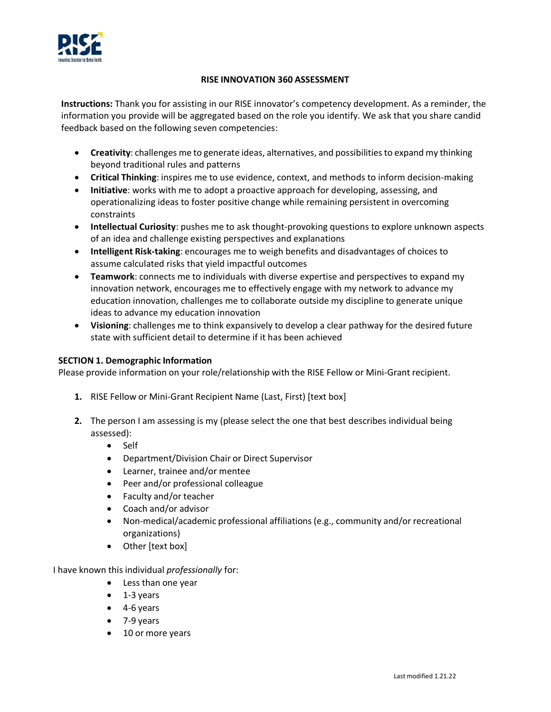

#### **RISE INNOVATION 360 ASSESSMENT**

**Instructions:** Thank you for assisting in our RISE innovator's competency development. As a reminder, the information you provide will be aggregated based on the role you identify. We ask that you share candid feedback based on the following seven competencies:

- **Creativity**: challenges me to generate ideas, alternatives, and possibilities to expand my thinking beyond traditional rules and patterns
- **Critical Thinking**: inspires me to use evidence, context, and methods to inform decision-making
- **Initiative**: works with me to adopt a proactive approach for developing, assessing, and operationalizing ideas to foster positive change while remaining persistent in overcoming constraints
- **Intellectual Curiosity**: pushes me to ask thought-provoking questions to explore unknown aspects of an idea and challenge existing perspectives and explanations
- **Intelligent Risk-taking**: encourages me to weigh benefits and disadvantages of choices to assume calculated risks that yield impactful outcomes
- **Teamwork**: connects me to individuals with diverse expertise and perspectives to expand my innovation network, encourages me to effectively engage with my network to advance my education innovation, challenges me to collaborate outside my discipline to generate unique ideas to advance my education innovation
- **Visioning**: challenges me to think expansively to develop a clear pathway for the desired future state with sufficient detail to determine if it has been achieved

### **SECTION 1. Demographic Information**

Please provide information on your role/relationship with the RISE Fellow or Mini-Grant recipient.

- **1.** RISE Fellow or Mini-Grant Recipient Name (Last, First) [text box]
- **2.** The person I am assessing is my (please select the one that best describes individual being assessed):
	- Self
	- Department/Division Chair or Direct Supervisor
	- Learner, trainee and/or mentee
	- Peer and/or professional colleague
	- Faculty and/or teacher
	- Coach and/or advisor
	- Non-medical/academic professional affiliations (e.g., community and/or recreational organizations)
	- Other [text box]

I have known this individual *professionally* for:

- Less than one year
- 1-3 years
- 4-6 years
- 7-9 years
- 10 or more years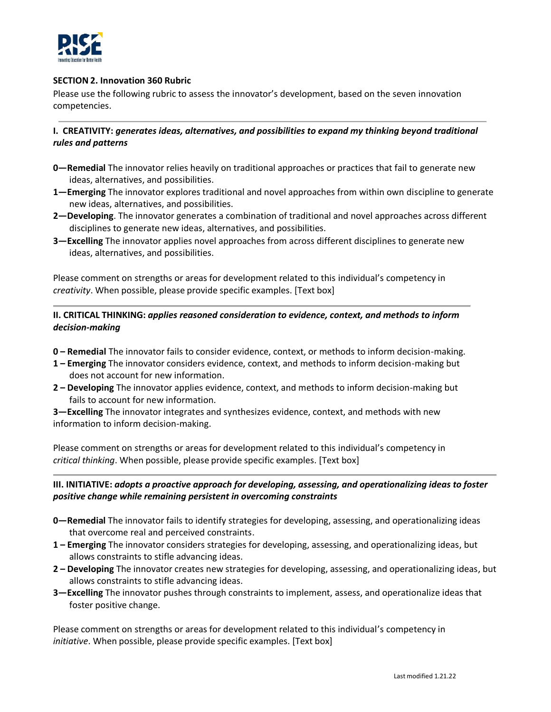

### **SECTION 2. Innovation 360 Rubric**

Please use the following rubric to assess the innovator's development, based on the seven innovation competencies.

**I. CREATIVITY:** *generates ideas, alternatives, and possibilities to expand my thinking beyond traditional rules and patterns*

- **0—Remedial** The innovator relies heavily on traditional approaches or practices that fail to generate new ideas, alternatives, and possibilities.
- **1—Emerging** The innovator explores traditional and novel approaches from within own discipline to generate new ideas, alternatives, and possibilities.
- **2—Developing**. The innovator generates a combination of traditional and novel approaches across different disciplines to generate new ideas, alternatives, and possibilities.
- **3—Excelling** The innovator applies novel approaches from across different disciplines to generate new ideas, alternatives, and possibilities.

Please comment on strengths or areas for development related to this individual's competency in *creativity*. When possible, please provide specific examples. [Text box]

## **II. CRITICAL THINKING:** *applies reasoned consideration to evidence, context, and methods to inform decision-making*

- **0 – Remedial** The innovator fails to consider evidence, context, or methods to inform decision-making.
- **1 – Emerging** The innovator considers evidence, context, and methods to inform decision-making but does not account for new information.
- **2 – Developing** The innovator applies evidence, context, and methods to inform decision-making but fails to account for new information.

**3—Excelling** The innovator integrates and synthesizes evidence, context, and methods with new information to inform decision-making.

Please comment on strengths or areas for development related to this individual's competency in *critical thinking*. When possible, please provide specific examples. [Text box]

# **III. INITIATIVE:** *adopts a proactive approach for developing, assessing, and operationalizing ideas to foster positive change while remaining persistent in overcoming constraints*

- **0—Remedial** The innovator fails to identify strategies for developing, assessing, and operationalizing ideas that overcome real and perceived constraints.
- **1 – Emerging** The innovator considers strategies for developing, assessing, and operationalizing ideas, but allows constraints to stifle advancing ideas.
- **2 – Developing** The innovator creates new strategies for developing, assessing, and operationalizing ideas, but allows constraints to stifle advancing ideas.
- **3—Excelling** The innovator pushes through constraints to implement, assess, and operationalize ideas that foster positive change.

Please comment on strengths or areas for development related to this individual's competency in *initiative*. When possible, please provide specific examples. [Text box]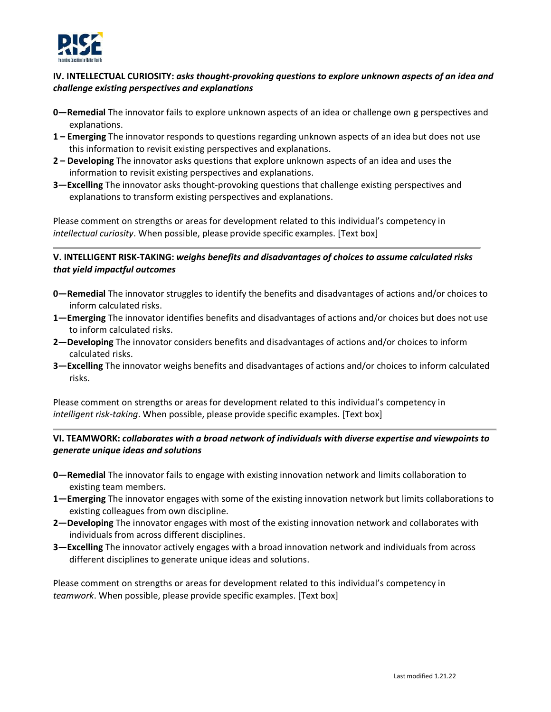

## **IV. INTELLECTUAL CURIOSITY:** *asks thought-provoking questions to explore unknown aspects of an idea and challenge existing perspectives and explanations*

- **0—Remedial** The innovator fails to explore unknown aspects of an idea or challenge own g perspectives and explanations.
- **1 – Emerging** The innovator responds to questions regarding unknown aspects of an idea but does not use this information to revisit existing perspectives and explanations.
- **2 – Developing** The innovator asks questions that explore unknown aspects of an idea and uses the information to revisit existing perspectives and explanations.
- **3—Excelling** The innovator asks thought-provoking questions that challenge existing perspectives and explanations to transform existing perspectives and explanations.

Please comment on strengths or areas for development related to this individual's competency in *intellectual curiosity*. When possible, please provide specific examples. [Text box]

## **V. INTELLIGENT RISK-TAKING:** *weighs benefits and disadvantages of choices to assume calculated risks that yield impactful outcomes*

- **0—Remedial** The innovator struggles to identify the benefits and disadvantages of actions and/or choices to inform calculated risks.
- **1—Emerging** The innovator identifies benefits and disadvantages of actions and/or choices but does not use to inform calculated risks.
- **2—Developing** The innovator considers benefits and disadvantages of actions and/or choices to inform calculated risks.
- **3—Excelling** The innovator weighs benefits and disadvantages of actions and/or choices to inform calculated risks.

Please comment on strengths or areas for development related to this individual's competency in *intelligent risk-taking*. When possible, please provide specific examples. [Text box]

### **VI. TEAMWORK:** *collaborates with a broad network of individuals with diverse expertise and viewpoints to generate unique ideas and solutions*

- **0—Remedial** The innovator fails to engage with existing innovation network and limits collaboration to existing team members.
- **1—Emerging** The innovator engages with some of the existing innovation network but limits collaborations to existing colleagues from own discipline.
- **2—Developing** The innovator engages with most of the existing innovation network and collaborates with individuals from across different disciplines.
- **3—Excelling** The innovator actively engages with a broad innovation network and individuals from across different disciplines to generate unique ideas and solutions.

Please comment on strengths or areas for development related to this individual's competency in *teamwork*. When possible, please provide specific examples. [Text box]